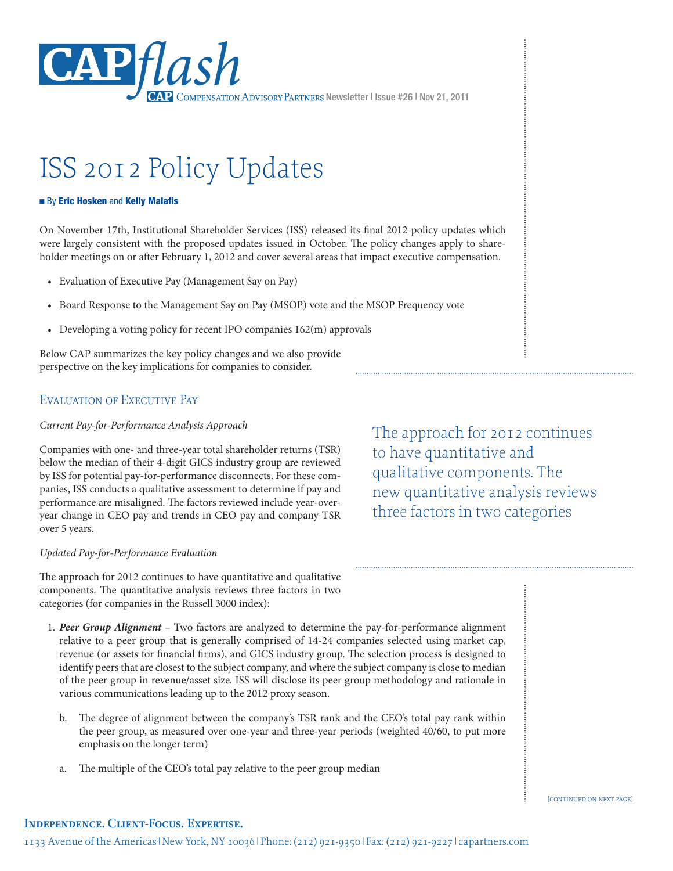

# ISS 2012 Policy Updates

#### ■ By Eric Hosken and Kelly Malafis

On November 17th, Institutional Shareholder Services (ISS) released its final 2012 policy updates which were largely consistent with the proposed updates issued in October. The policy changes apply to shareholder meetings on or after February 1, 2012 and cover several areas that impact executive compensation.

- Evaluation of Executive Pay (Management Say on Pay)
- • Board Response to the Management Say on Pay (MSOP) vote and the MSOP Frequency vote
- Developing a voting policy for recent IPO companies 162(m) approvals

Below CAP summarizes the key policy changes and we also provide perspective on the key implications for companies to consider.

### Evaluation of Executive Pay

#### *Current Pay-for-Performance Analysis Approach*

Companies with one- and three-year total shareholder returns (TSR) below the median of their 4-digit GICS industry group are reviewed by ISS for potential pay-for-performance disconnects. For these companies, ISS conducts a qualitative assessment to determine if pay and performance are misaligned. The factors reviewed include year-overyear change in CEO pay and trends in CEO pay and company TSR over 5 years.

#### *Updated Pay-for-Performance Evaluation*

The approach for 2012 continues to have quantitative and qualitative components. The quantitative analysis reviews three factors in two categories (for companies in the Russell 3000 index):

- 1. *Peer Group Alignment* Two factors are analyzed to determine the pay-for-performance alignment relative to a peer group that is generally comprised of 14-24 companies selected using market cap, revenue (or assets for financial firms), and GICS industry group. The selection process is designed to identify peers that are closest to the subject company, and where the subject company is close to median of the peer group in revenue/asset size. ISS will disclose its peer group methodology and rationale in various communications leading up to the 2012 proxy season.
	- b. The degree of alignment between the company's TSR rank and the CEO's total pay rank within the peer group, as measured over one-year and three-year periods (weighted 40/60, to put more emphasis on the longer term)
	- The multiple of the CEO's total pay relative to the peer group median

The approach for 2012 continues to have quantitative and qualitative components. The new quantitative analysis reviews three factors in two categories

[continued on next page]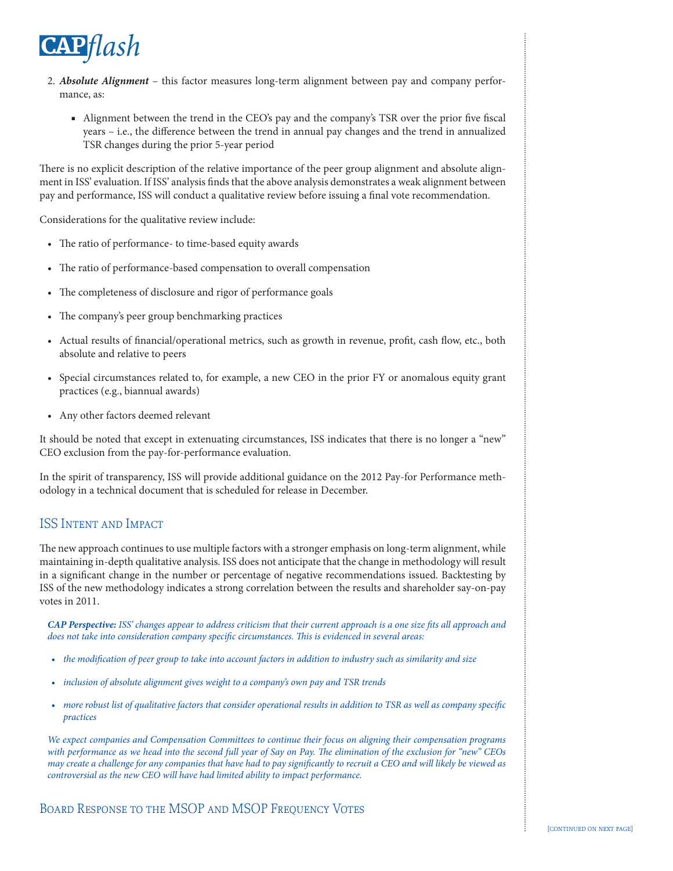

- 2. *Absolute Alignment* this factor measures long-term alignment between pay and company performance, as:
	- Alignment between the trend in the CEO's pay and the company's TSR over the prior five fiscal years – i.e., the difference between the trend in annual pay changes and the trend in annualized TSR changes during the prior 5-year period

There is no explicit description of the relative importance of the peer group alignment and absolute alignment in ISS' evaluation. If ISS' analysis finds that the above analysis demonstrates a weak alignment between pay and performance, ISS will conduct a qualitative review before issuing a final vote recommendation.

Considerations for the qualitative review include:

- The ratio of performance- to time-based equity awards
- • The ratio of performance-based compensation to overall compensation
- The completeness of disclosure and rigor of performance goals
- The company's peer group benchmarking practices
- • Actual results of financial/operational metrics, such as growth in revenue, profit, cash flow, etc., both absolute and relative to peers
- • Special circumstances related to, for example, a new CEO in the prior FY or anomalous equity grant practices (e.g., biannual awards)
- • Any other factors deemed relevant

It should be noted that except in extenuating circumstances, ISS indicates that there is no longer a "new" CEO exclusion from the pay-for-performance evaluation.

In the spirit of transparency, ISS will provide additional guidance on the 2012 Pay-for Performance methodology in a technical document that is scheduled for release in December.

## ISS Intent and Impact

The new approach continues to use multiple factors with a stronger emphasis on long-term alignment, while maintaining in-depth qualitative analysis. ISS does not anticipate that the change in methodology will result in a significant change in the number or percentage of negative recommendations issued. Backtesting by ISS of the new methodology indicates a strong correlation between the results and shareholder say-on-pay votes in 2011.

*CAP Perspective: ISS' changes appear to address criticism that their current approach is a one size fits all approach and does not take into consideration company specific circumstances. This is evidenced in several areas:*

- • *the modification of peer group to take into account factors in addition to industry such as similarity and size*
- • *inclusion of absolute alignment gives weight to a company's own pay and TSR trends*
- • *more robust list of qualitative factors that consider operational results in addition to TSR as well as company specific practices*

*We expect companies and Compensation Committees to continue their focus on aligning their compensation programs with performance as we head into the second full year of Say on Pay. The elimination of the exclusion for "new" CEOs may create a challenge for any companies that have had to pay significantly to recruit a CEO and will likely be viewed as controversial as the new CEO will have had limited ability to impact performance.*

BOARD RESPONSE TO THE MSOP AND MSOP FREQUENCY VOTES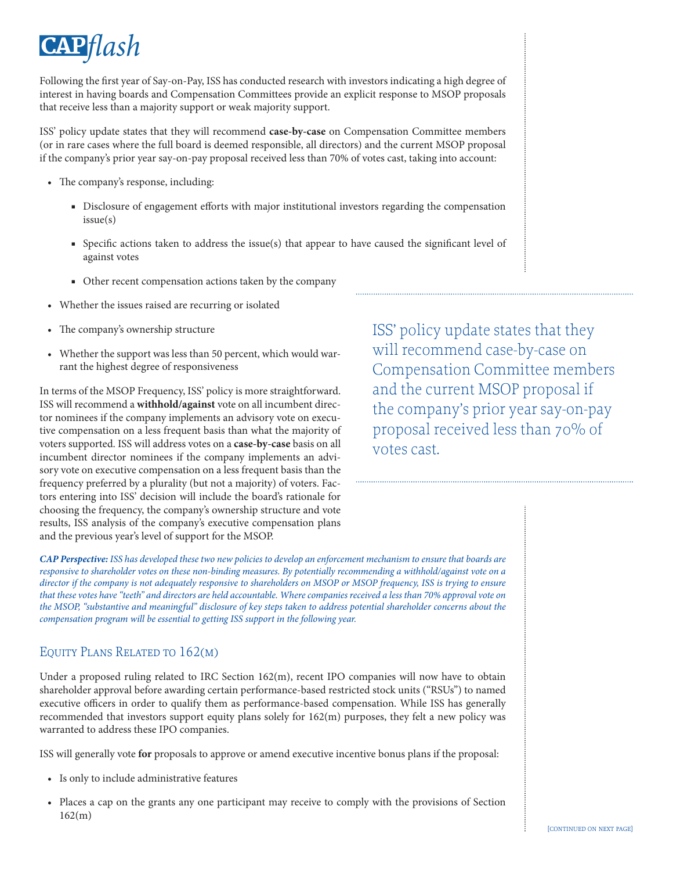

Following the first year of Say-on-Pay, ISS has conducted research with investors indicating a high degree of interest in having boards and Compensation Committees provide an explicit response to MSOP proposals that receive less than a majority support or weak majority support.

ISS' policy update states that they will recommend **case-by-case** on Compensation Committee members (or in rare cases where the full board is deemed responsible, all directors) and the current MSOP proposal if the company's prior year say-on-pay proposal received less than 70% of votes cast, taking into account:

- • The company's response, including:
	- Disclosure of engagement efforts with major institutional investors regarding the compensation issue(s)
	- Specific actions taken to address the issue(s) that appear to have caused the significant level of against votes
	- Other recent compensation actions taken by the company
- • Whether the issues raised are recurring or isolated
- The company's ownership structure
- Whether the support was less than 50 percent, which would warrant the highest degree of responsiveness

In terms of the MSOP Frequency, ISS' policy is more straightforward. ISS will recommend a **withhold/against** vote on all incumbent director nominees if the company implements an advisory vote on executive compensation on a less frequent basis than what the majority of voters supported. ISS will address votes on a **case-by-case** basis on all incumbent director nominees if the company implements an advisory vote on executive compensation on a less frequent basis than the frequency preferred by a plurality (but not a majority) of voters. Factors entering into ISS' decision will include the board's rationale for choosing the frequency, the company's ownership structure and vote results, ISS analysis of the company's executive compensation plans and the previous year's level of support for the MSOP.

ISS' policy update states that they will recommend case-by-case on Compensation Committee members and the current MSOP proposal if the company's prior year say-on-pay proposal received less than 70% of votes cast.

*CAP Perspective: ISS has developed these two new policies to develop an enforcement mechanism to ensure that boards are responsive to shareholder votes on these non-binding measures. By potentially recommending a withhold/against vote on a director if the company is not adequately responsive to shareholders on MSOP or MSOP frequency, ISS is trying to ensure that these votes have "teeth" and directors are held accountable. Where companies received a less than 70% approval vote on the MSOP, "substantive and meaningful" disclosure of key steps taken to address potential shareholder concerns about the compensation program will be essential to getting ISS support in the following year.*

## Equity Plans Related to 162(m)

Under a proposed ruling related to IRC Section 162(m), recent IPO companies will now have to obtain shareholder approval before awarding certain performance-based restricted stock units ("RSUs") to named executive officers in order to qualify them as performance-based compensation. While ISS has generally recommended that investors support equity plans solely for 162(m) purposes, they felt a new policy was warranted to address these IPO companies.

ISS will generally vote **for** proposals to approve or amend executive incentive bonus plans if the proposal:

- • Is only to include administrative features
- • Places a cap on the grants any one participant may receive to comply with the provisions of Section 162(m)

 $\vdots$